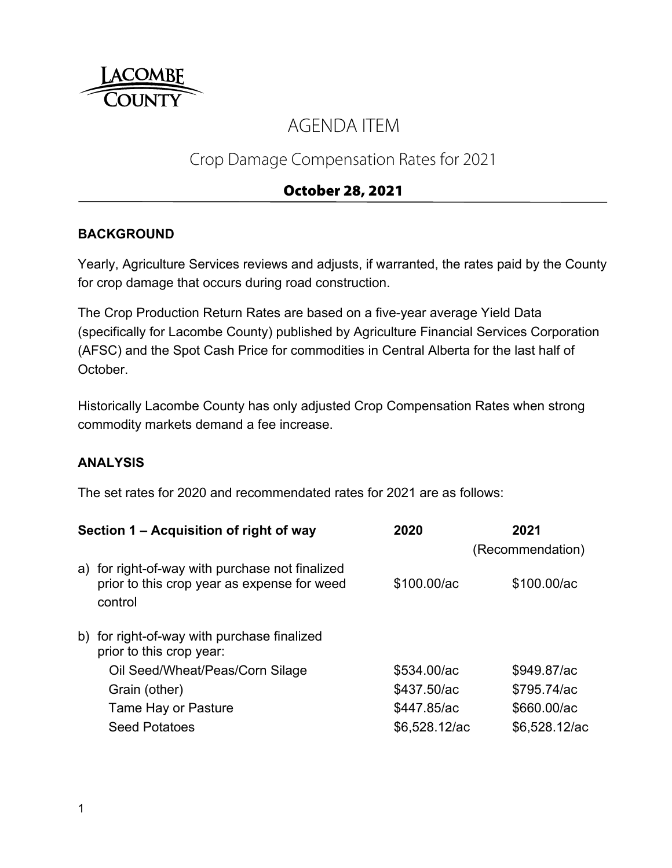

# AGENDA ITEM

## Crop Damage Compensation Rates for 2021

## October 28, 2021

#### **BACKGROUND**

Yearly, Agriculture Services reviews and adjusts, if warranted, the rates paid by the County for crop damage that occurs during road construction.

The Crop Production Return Rates are based on a five-year average Yield Data (specifically for Lacombe County) published by Agriculture Financial Services Corporation (AFSC) and the Spot Cash Price for commodities in Central Alberta for the last half of October.

Historically Lacombe County has only adjusted Crop Compensation Rates when strong commodity markets demand a fee increase.

#### **ANALYSIS**

The set rates for 2020 and recommendated rates for 2021 are as follows:

|                                                        | 2020                                                                                                                                      | 2021             |
|--------------------------------------------------------|-------------------------------------------------------------------------------------------------------------------------------------------|------------------|
|                                                        |                                                                                                                                           | (Recommendation) |
| prior to this crop year as expense for weed<br>control | \$100.00/ac                                                                                                                               | \$100.00/ac      |
| prior to this crop year:                               |                                                                                                                                           |                  |
| Oil Seed/Wheat/Peas/Corn Silage                        | \$534.00/ac                                                                                                                               | \$949.87/ac      |
| Grain (other)                                          | \$437.50/ac                                                                                                                               | \$795.74/ac      |
| Tame Hay or Pasture                                    | \$447.85/ac                                                                                                                               | \$660.00/ac      |
| <b>Seed Potatoes</b>                                   | \$6,528.12/ac                                                                                                                             | \$6,528.12/ac    |
|                                                        | Section 1 – Acquisition of right of way<br>a) for right-of-way with purchase not finalized<br>b) for right-of-way with purchase finalized |                  |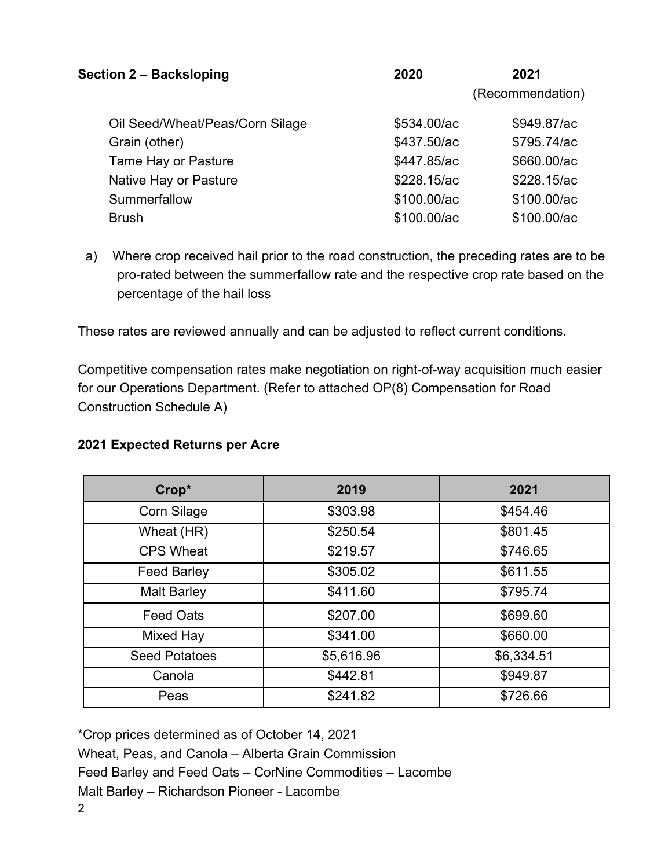| <b>Section 2 - Backsloping</b>  | 2020        | 2021             |
|---------------------------------|-------------|------------------|
|                                 |             | (Recommendation) |
| Oil Seed/Wheat/Peas/Corn Silage | \$534.00/ac | \$949.87/ac      |
| Grain (other)                   | \$437.50/ac | \$795.74/ac      |
| Tame Hay or Pasture             | \$447.85/ac | \$660.00/ac      |
| Native Hay or Pasture           | \$228.15/ac | \$228.15/ac      |
| Summerfallow                    | \$100.00/ac | \$100.00/ac      |
| <b>Brush</b>                    | \$100.00/ac | \$100.00/ac      |

a) Where crop received hail prior to the road construction, the preceding rates are to be pro-rated between the summerfallow rate and the respective crop rate based on the percentage of the hail loss

These rates are reviewed annually and can be adjusted to reflect current conditions.

Competitive compensation rates make negotiation on right-of-way acquisition much easier for our Operations Department. (Refer to attached OP(8) Compensation for Road Construction Schedule A)

#### **2021 Expected Returns per Acre**

| Crop*                | 2019       | 2021       |
|----------------------|------------|------------|
| <b>Corn Silage</b>   | \$303.98   | \$454.46   |
| Wheat (HR)           | \$250.54   | \$801.45   |
| <b>CPS Wheat</b>     | \$219.57   | \$746.65   |
| <b>Feed Barley</b>   | \$305.02   | \$611.55   |
| <b>Malt Barley</b>   | \$411.60   | \$795.74   |
| <b>Feed Oats</b>     | \$207.00   | \$699.60   |
| Mixed Hay            | \$341.00   | \$660.00   |
| <b>Seed Potatoes</b> | \$5,616.96 | \$6,334.51 |
| Canola               | \$442.81   | \$949.87   |
| Peas                 | \$241.82   | \$726.66   |

2 \*Crop prices determined as of October 14, 2021 Wheat, Peas, and Canola – Alberta Grain Commission Feed Barley and Feed Oats – CorNine Commodities – Lacombe Malt Barley – Richardson Pioneer - Lacombe